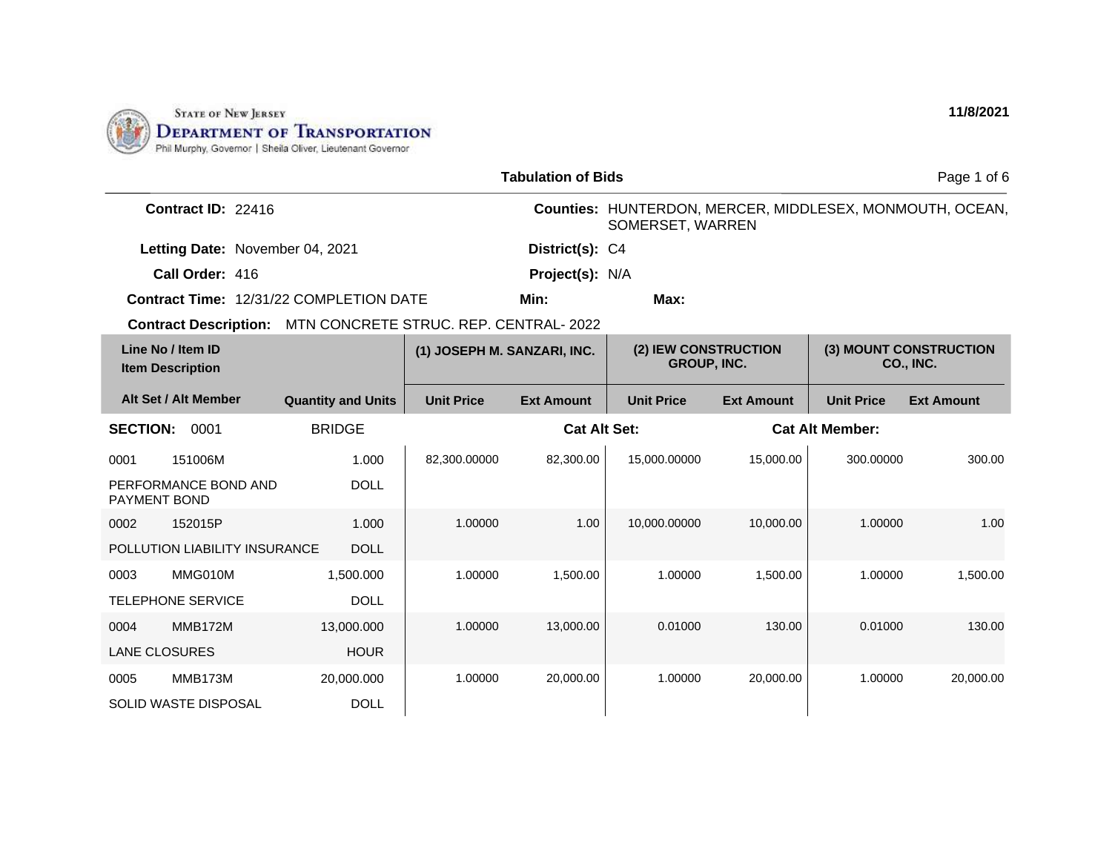

|                                              |                                                             |                             | <b>Tabulation of Bids</b> |                                                                              |                   |                                            | Page 1 of 6       |
|----------------------------------------------|-------------------------------------------------------------|-----------------------------|---------------------------|------------------------------------------------------------------------------|-------------------|--------------------------------------------|-------------------|
| Contract ID: 22416                           |                                                             |                             |                           | Counties: HUNTERDON, MERCER, MIDDLESEX, MONMOUTH, OCEAN,<br>SOMERSET, WARREN |                   |                                            |                   |
|                                              | Letting Date: November 04, 2021                             |                             | District(s): C4           |                                                                              |                   |                                            |                   |
| Call Order: 416                              |                                                             |                             | <b>Project(s): N/A</b>    |                                                                              |                   |                                            |                   |
|                                              | Contract Time: 12/31/22 COMPLETION DATE                     |                             | Min:                      | Max:                                                                         |                   |                                            |                   |
|                                              | Contract Description: MTN CONCRETE STRUC. REP. CENTRAL-2022 |                             |                           |                                                                              |                   |                                            |                   |
| Line No / Item ID<br><b>Item Description</b> |                                                             | (1) JOSEPH M. SANZARI, INC. |                           | (2) IEW CONSTRUCTION<br><b>GROUP, INC.</b>                                   |                   | (3) MOUNT CONSTRUCTION<br><b>CO., INC.</b> |                   |
| Alt Set / Alt Member                         | <b>Quantity and Units</b>                                   | <b>Unit Price</b>           | <b>Ext Amount</b>         | <b>Unit Price</b>                                                            | <b>Ext Amount</b> | <b>Unit Price</b>                          | <b>Ext Amount</b> |
| <b>SECTION:</b><br>0001                      | <b>BRIDGE</b>                                               |                             |                           | <b>Cat Alt Set:</b>                                                          |                   | <b>Cat Alt Member:</b>                     |                   |
| 0001<br>151006M                              | 1.000                                                       | 82,300.00000                | 82,300.00                 | 15,000.00000                                                                 | 15,000.00         | 300.00000                                  | 300.00            |
| PERFORMANCE BOND AND<br><b>PAYMENT BOND</b>  | <b>DOLL</b>                                                 |                             |                           |                                                                              |                   |                                            |                   |
| 0002<br>152015P                              | 1.000                                                       | 1.00000                     | 1.00                      | 10,000.00000                                                                 | 10,000.00         | 1.00000                                    | 1.00              |
| POLLUTION LIABILITY INSURANCE                | <b>DOLL</b>                                                 |                             |                           |                                                                              |                   |                                            |                   |
| 0003<br>MMG010M                              | 1.500.000                                                   | 1.00000                     | 1,500.00                  | 1.00000                                                                      | 1,500.00          | 1.00000                                    | 1,500.00          |
| <b>TELEPHONE SERVICE</b>                     | <b>DOLL</b>                                                 |                             |                           |                                                                              |                   |                                            |                   |
| MMB172M<br>0004                              | 13,000.000                                                  | 1.00000                     | 13,000.00                 | 0.01000                                                                      | 130.00            | 0.01000                                    | 130.00            |
| <b>LANE CLOSURES</b>                         | <b>HOUR</b>                                                 |                             |                           |                                                                              |                   |                                            |                   |
| MMB173M<br>0005                              | 20,000.000                                                  | 1.00000                     | 20,000.00                 | 1.00000                                                                      | 20,000.00         | 1.00000                                    | 20,000.00         |
| <b>SOLID WASTE DISPOSAL</b>                  | <b>DOLL</b>                                                 |                             |                           |                                                                              |                   |                                            |                   |

**11/8/2021**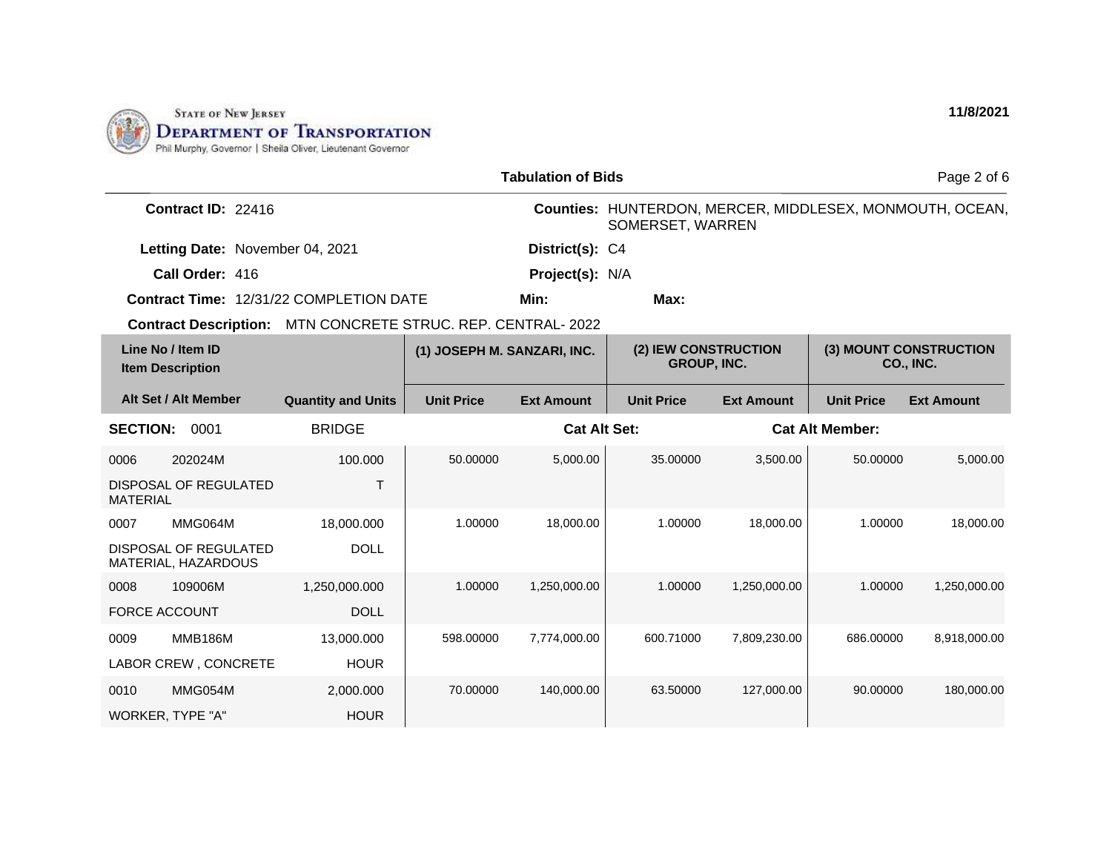

| <b>Tabulation of Bids</b>                                           |                           |                             |                   |                                                                              |                   |                                     | Page 2 of 6       |
|---------------------------------------------------------------------|---------------------------|-----------------------------|-------------------|------------------------------------------------------------------------------|-------------------|-------------------------------------|-------------------|
| Contract ID: 22416                                                  |                           |                             |                   | Counties: HUNTERDON, MERCER, MIDDLESEX, MONMOUTH, OCEAN,<br>SOMERSET, WARREN |                   |                                     |                   |
| Letting Date: November 04, 2021                                     |                           |                             | District(s): C4   |                                                                              |                   |                                     |                   |
| Call Order: 416                                                     |                           |                             | Project(s): N/A   |                                                                              |                   |                                     |                   |
| <b>Contract Time: 12/31/22 COMPLETION DATE</b>                      |                           |                             | Min:              | Max:                                                                         |                   |                                     |                   |
| <b>Contract Description: MTN CONCRETE STRUC. REP. CENTRAL- 2022</b> |                           |                             |                   |                                                                              |                   |                                     |                   |
| Line No / Item ID<br><b>Item Description</b>                        |                           | (1) JOSEPH M. SANZARI, INC. |                   | (2) IEW CONSTRUCTION<br><b>GROUP, INC.</b>                                   |                   | (3) MOUNT CONSTRUCTION<br>CO., INC. |                   |
| Alt Set / Alt Member                                                | <b>Quantity and Units</b> | <b>Unit Price</b>           | <b>Ext Amount</b> | <b>Unit Price</b>                                                            | <b>Ext Amount</b> | <b>Unit Price</b>                   | <b>Ext Amount</b> |
| <b>SECTION:</b><br>0001                                             | <b>BRIDGE</b>             |                             |                   | <b>Cat Alt Set:</b><br><b>Cat Alt Member:</b>                                |                   |                                     |                   |
| 202024M<br>0006                                                     | 100.000                   | 50.00000                    | 5,000.00          | 35.00000                                                                     | 3,500.00          | 50.00000                            | 5,000.00          |
| DISPOSAL OF REGULATED<br><b>MATERIAL</b>                            | $\top$                    |                             |                   |                                                                              |                   |                                     |                   |
| MMG064M<br>0007                                                     | 18,000.000                | 1.00000                     | 18,000.00         | 1.00000                                                                      | 18,000.00         | 1.00000                             | 18,000.00         |
| DISPOSAL OF REGULATED<br>MATERIAL, HAZARDOUS                        | <b>DOLL</b>               |                             |                   |                                                                              |                   |                                     |                   |
| 109006M<br>0008                                                     | 1,250,000.000             | 1.00000                     | 1,250,000.00      | 1.00000                                                                      | 1,250,000.00      | 1.00000                             | 1,250,000.00      |
| <b>FORCE ACCOUNT</b>                                                | <b>DOLL</b>               |                             |                   |                                                                              |                   |                                     |                   |
| <b>MMB186M</b><br>0009                                              | 13,000.000                | 598.00000                   | 7,774,000.00      | 600.71000                                                                    | 7,809,230.00      | 686.00000                           | 8,918,000.00      |
| LABOR CREW, CONCRETE                                                | <b>HOUR</b>               |                             |                   |                                                                              |                   |                                     |                   |
| MMG054M<br>0010                                                     | 2,000.000                 | 70.00000                    | 140,000.00        | 63.50000                                                                     | 127,000.00        | 90.00000                            | 180,000.00        |
| <b>WORKER, TYPE "A"</b>                                             | <b>HOUR</b>               |                             |                   |                                                                              |                   |                                     |                   |

**11/8/2021**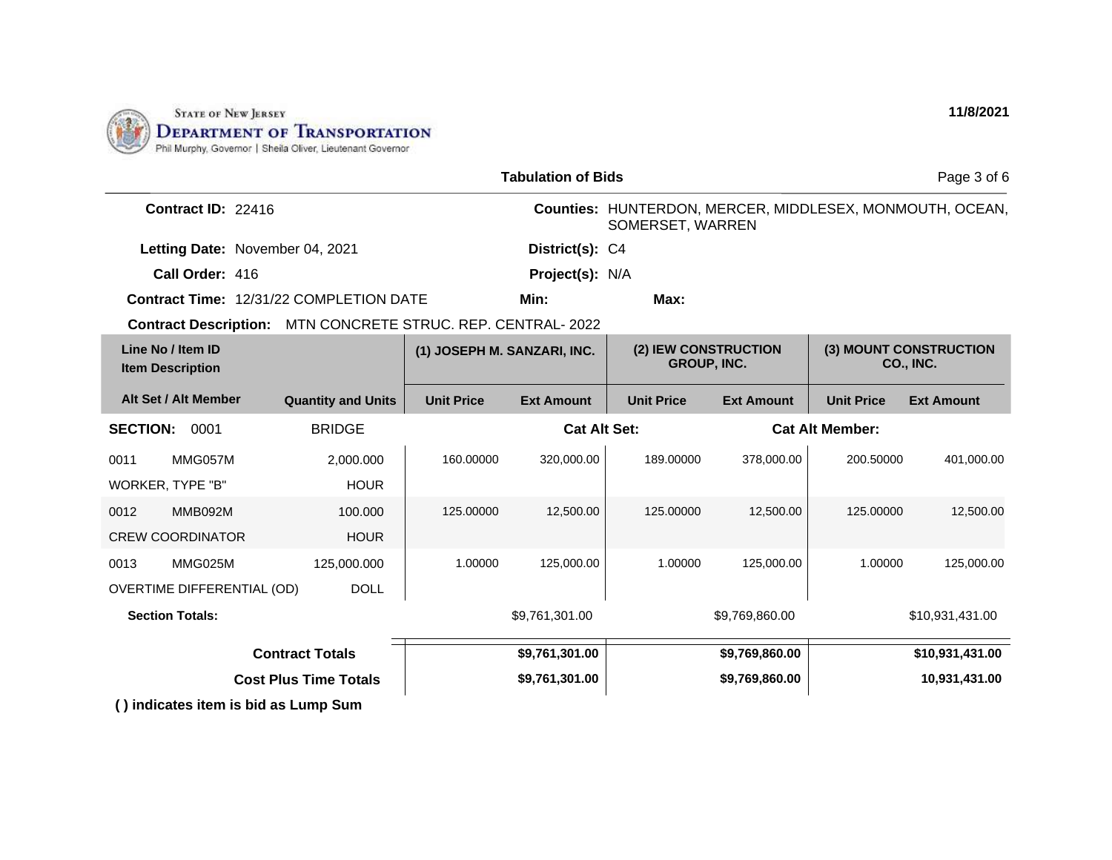

|                                                             | <b>Tabulation of Bids</b>                                                 |                   |                     |                   | Page 3 of 6                         |                        |                                                          |
|-------------------------------------------------------------|---------------------------------------------------------------------------|-------------------|---------------------|-------------------|-------------------------------------|------------------------|----------------------------------------------------------|
| Contract ID: 22416                                          |                                                                           |                   |                     | SOMERSET, WARREN  |                                     |                        | Counties: HUNTERDON, MERCER, MIDDLESEX, MONMOUTH, OCEAN, |
| Letting Date: November 04, 2021                             |                                                                           |                   | District(s): C4     |                   |                                     |                        |                                                          |
| Call Order: 416                                             |                                                                           |                   | Project(s): N/A     |                   |                                     |                        |                                                          |
| <b>Contract Time: 12/31/22 COMPLETION DATE</b>              |                                                                           |                   | Min:                | Max:              |                                     |                        |                                                          |
| Contract Description: MTN CONCRETE STRUC. REP. CENTRAL-2022 |                                                                           |                   |                     |                   |                                     |                        |                                                          |
| Line No / Item ID<br><b>Item Description</b>                | (2) IEW CONSTRUCTION<br>(1) JOSEPH M. SANZARI, INC.<br><b>GROUP, INC.</b> |                   |                     |                   | (3) MOUNT CONSTRUCTION<br>CO., INC. |                        |                                                          |
| Alt Set / Alt Member                                        | <b>Quantity and Units</b>                                                 | <b>Unit Price</b> | <b>Ext Amount</b>   | <b>Unit Price</b> | <b>Ext Amount</b>                   | <b>Unit Price</b>      | <b>Ext Amount</b>                                        |
| <b>SECTION:</b><br>0001                                     | <b>BRIDGE</b>                                                             |                   | <b>Cat Alt Set:</b> |                   |                                     | <b>Cat Alt Member:</b> |                                                          |
| MMG057M<br>0011                                             | 2.000.000                                                                 | 160.00000         | 320,000.00          | 189.00000         | 378,000.00                          | 200.50000              | 401,000.00                                               |
| WORKER, TYPE "B"                                            | <b>HOUR</b>                                                               |                   |                     |                   |                                     |                        |                                                          |
| MMB092M<br>0012<br><b>CREW COORDINATOR</b>                  | 100.000<br><b>HOUR</b>                                                    | 125.00000         | 12,500.00           | 125.00000         | 12,500.00                           | 125.00000              | 12,500.00                                                |
| MMG025M<br>0013                                             | 125,000.000                                                               | 1.00000           | 125,000.00          | 1.00000           | 125,000.00                          | 1.00000                | 125,000.00                                               |
| <b>OVERTIME DIFFERENTIAL (OD)</b>                           | <b>DOLL</b>                                                               |                   |                     |                   |                                     |                        |                                                          |
| <b>Section Totals:</b>                                      |                                                                           |                   | \$9,761,301.00      |                   | \$9,769,860.00                      |                        | \$10,931,431.00                                          |
|                                                             | <b>Contract Totals</b>                                                    |                   | \$9,761,301.00      |                   | \$9,769,860.00                      |                        | \$10,931,431.00                                          |
|                                                             | <b>Cost Plus Time Totals</b>                                              |                   | \$9,761,301.00      |                   | \$9,769,860.00                      |                        | 10,931,431.00                                            |
| () indicates item is bid as Lump Sum                        |                                                                           |                   |                     |                   |                                     |                        |                                                          |

**11/8/2021**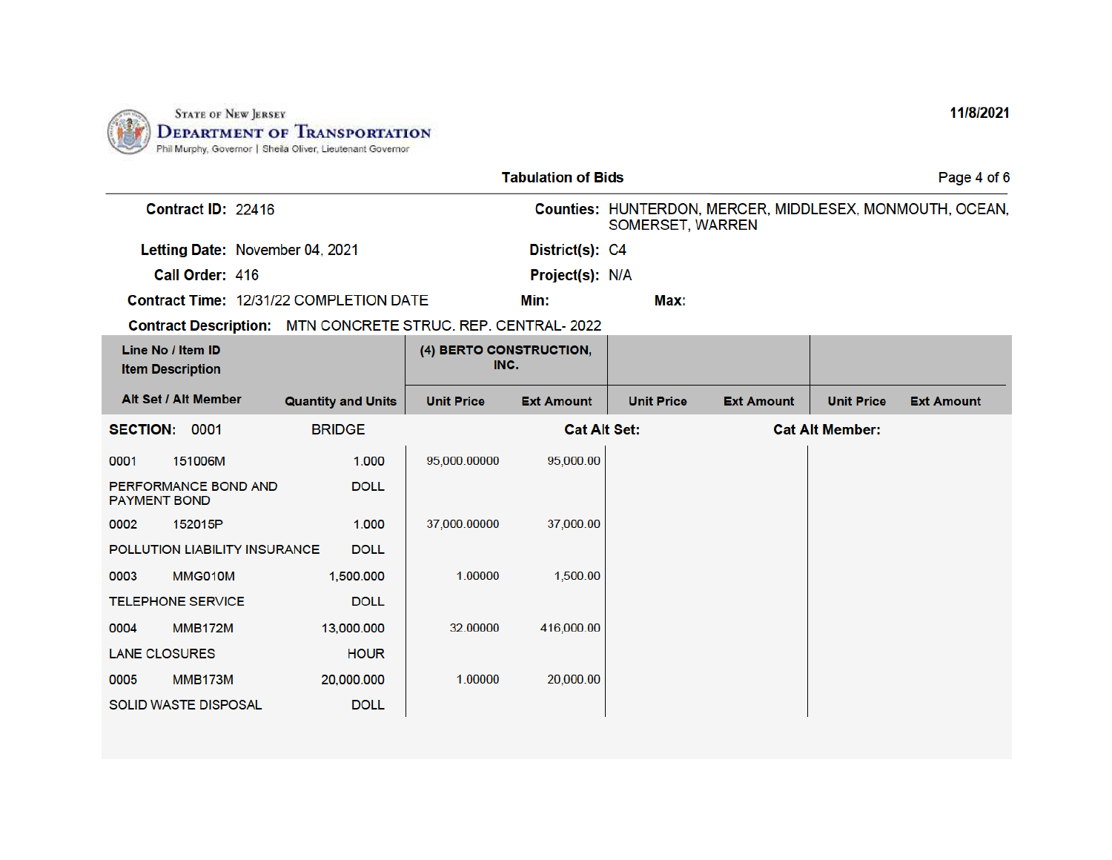

| <b>Tabulation of Bids</b>                    |                                 |                                                              |                                 |                     |                   |                   | Page 4 of 6            |                                                          |
|----------------------------------------------|---------------------------------|--------------------------------------------------------------|---------------------------------|---------------------|-------------------|-------------------|------------------------|----------------------------------------------------------|
|                                              | Contract ID: 22416              |                                                              |                                 |                     | SOMERSET, WARREN  |                   |                        | Counties: HUNTERDON, MERCER, MIDDLESEX, MONMOUTH, OCEAN, |
|                                              | Letting Date: November 04, 2021 |                                                              |                                 | District(s): C4     |                   |                   |                        |                                                          |
|                                              | Call Order: 416                 |                                                              |                                 | Project(s): N/A     |                   |                   |                        |                                                          |
|                                              |                                 | Contract Time: 12/31/22 COMPLETION DATE                      |                                 | Min:                | Max:              |                   |                        |                                                          |
|                                              |                                 | Contract Description: MTN CONCRETE STRUC. REP. CENTRAL- 2022 |                                 |                     |                   |                   |                        |                                                          |
| Line No / Item ID<br><b>Item Description</b> |                                 |                                                              | (4) BERTO CONSTRUCTION,<br>INC. |                     |                   |                   |                        |                                                          |
|                                              | Alt Set / Alt Member            | <b>Quantity and Units</b>                                    | <b>Unit Price</b>               | <b>Ext Amount</b>   | <b>Unit Price</b> | <b>Ext Amount</b> | <b>Unit Price</b>      | <b>Ext Amount</b>                                        |
| <b>SECTION:</b>                              | 0001                            | <b>BRIDGE</b>                                                |                                 | <b>Cat Alt Set:</b> |                   |                   | <b>Cat Alt Member:</b> |                                                          |
| 0001                                         | 151006M                         | 1.000                                                        | 95,000.00000                    | 95,000.00           |                   |                   |                        |                                                          |
| <b>PAYMENT BOND</b>                          | PERFORMANCE BOND AND            | <b>DOLL</b>                                                  |                                 |                     |                   |                   |                        |                                                          |
| 0002                                         | 152015P                         | 1.000                                                        | 37,000.00000                    | 37,000.00           |                   |                   |                        |                                                          |
|                                              | POLLUTION LIABILITY INSURANCE   | <b>DOLL</b>                                                  |                                 |                     |                   |                   |                        |                                                          |
| 0003                                         | MMG010M                         | 1,500.000                                                    | 1.00000                         | 1,500.00            |                   |                   |                        |                                                          |
|                                              | <b>TELEPHONE SERVICE</b>        | <b>DOLL</b>                                                  |                                 |                     |                   |                   |                        |                                                          |
| 0004                                         | <b>MMB172M</b>                  | 13,000.000                                                   | 32.00000                        | 416,000.00          |                   |                   |                        |                                                          |
| <b>LANE CLOSURES</b>                         |                                 | <b>HOUR</b>                                                  |                                 |                     |                   |                   |                        |                                                          |
| 0005                                         | MMB173M                         | 20,000.000                                                   | 1.00000                         | 20,000.00           |                   |                   |                        |                                                          |
|                                              | <b>SOLID WASTE DISPOSAL</b>     | <b>DOLL</b>                                                  |                                 |                     |                   |                   |                        |                                                          |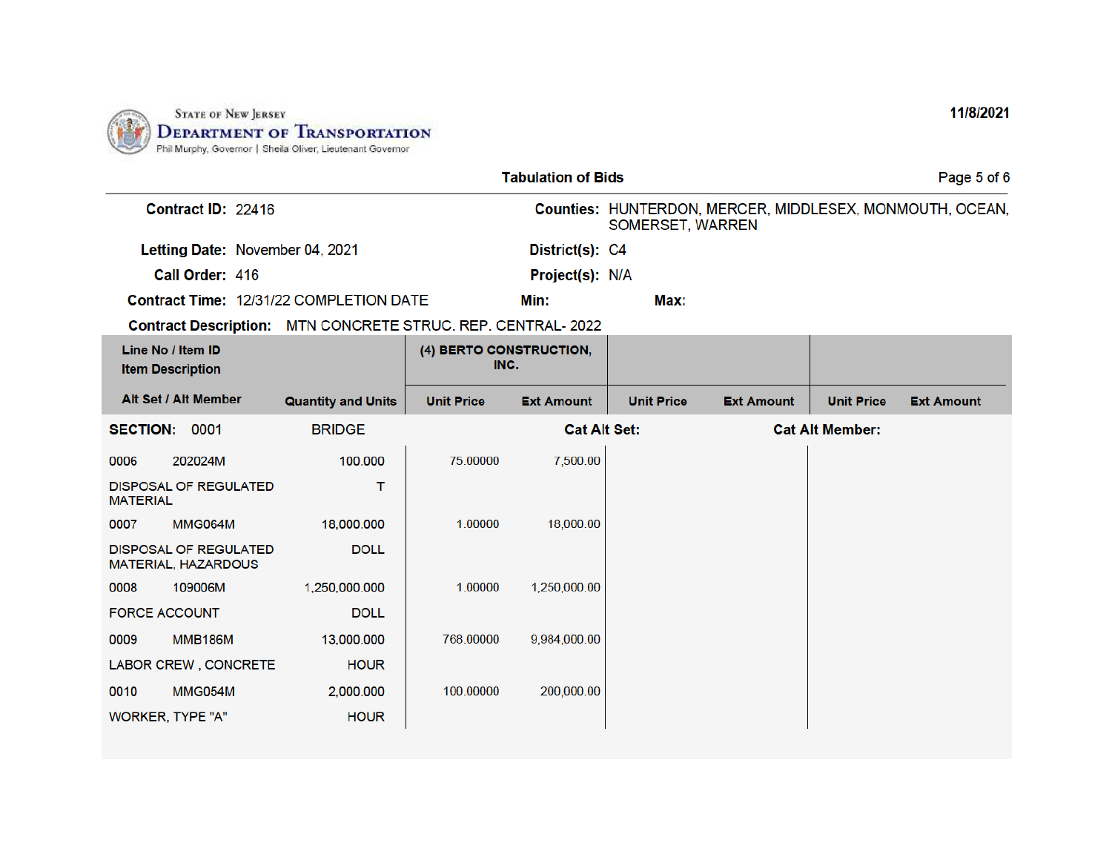

|                      |                                                     |                                                             |                                 | <b>Tabulation of Bids</b> |                   |                   |                        | Page 5 of 6                                              |
|----------------------|-----------------------------------------------------|-------------------------------------------------------------|---------------------------------|---------------------------|-------------------|-------------------|------------------------|----------------------------------------------------------|
|                      | Contract ID: 22416                                  |                                                             |                                 |                           | SOMERSET, WARREN  |                   |                        | Counties: HUNTERDON, MERCER, MIDDLESEX, MONMOUTH, OCEAN, |
|                      | Letting Date: November 04, 2021                     |                                                             |                                 | District(s): C4           |                   |                   |                        |                                                          |
|                      | Call Order: 416                                     |                                                             |                                 | Project(s): N/A           |                   |                   |                        |                                                          |
|                      |                                                     | Contract Time: 12/31/22 COMPLETION DATE                     |                                 | Min:                      | Max:              |                   |                        |                                                          |
|                      |                                                     | Contract Description: MTN CONCRETE STRUC. REP. CENTRAL-2022 |                                 |                           |                   |                   |                        |                                                          |
|                      | Line No / Item ID<br><b>Item Description</b>        |                                                             | (4) BERTO CONSTRUCTION,<br>INC. |                           |                   |                   |                        |                                                          |
|                      | Alt Set / Alt Member                                | <b>Quantity and Units</b>                                   | <b>Unit Price</b>               | <b>Ext Amount</b>         | <b>Unit Price</b> | <b>Ext Amount</b> | <b>Unit Price</b>      | <b>Ext Amount</b>                                        |
| SECTION: 0001        |                                                     | <b>BRIDGE</b>                                               |                                 | <b>Cat Alt Set:</b>       |                   |                   | <b>Cat Alt Member:</b> |                                                          |
| 0006                 | 202024M                                             | 100.000                                                     | 75.00000                        | 7,500.00                  |                   |                   |                        |                                                          |
| <b>MATERIAL</b>      | <b>DISPOSAL OF REGULATED</b>                        | т                                                           |                                 |                           |                   |                   |                        |                                                          |
| 0007                 | <b>MMG064M</b>                                      | 18,000.000                                                  | 1.00000                         | 18,000.00                 |                   |                   |                        |                                                          |
|                      | <b>DISPOSAL OF REGULATED</b><br>MATERIAL, HAZARDOUS | <b>DOLL</b>                                                 |                                 |                           |                   |                   |                        |                                                          |
| 0008                 | 109006M                                             | 1,250,000.000                                               | 1.00000                         | 1,250,000.00              |                   |                   |                        |                                                          |
| <b>FORCE ACCOUNT</b> |                                                     | <b>DOLL</b>                                                 |                                 |                           |                   |                   |                        |                                                          |
| 0009                 | <b>MMB186M</b>                                      | 13,000.000                                                  | 768.00000                       | 9,984,000.00              |                   |                   |                        |                                                          |
|                      | LABOR CREW, CONCRETE                                | <b>HOUR</b>                                                 |                                 |                           |                   |                   |                        |                                                          |
| 0010                 | MMG054M                                             | 2,000.000                                                   | 100.00000                       | 200,000.00                |                   |                   |                        |                                                          |
|                      | WORKER, TYPE "A"                                    | <b>HOUR</b>                                                 |                                 |                           |                   |                   |                        |                                                          |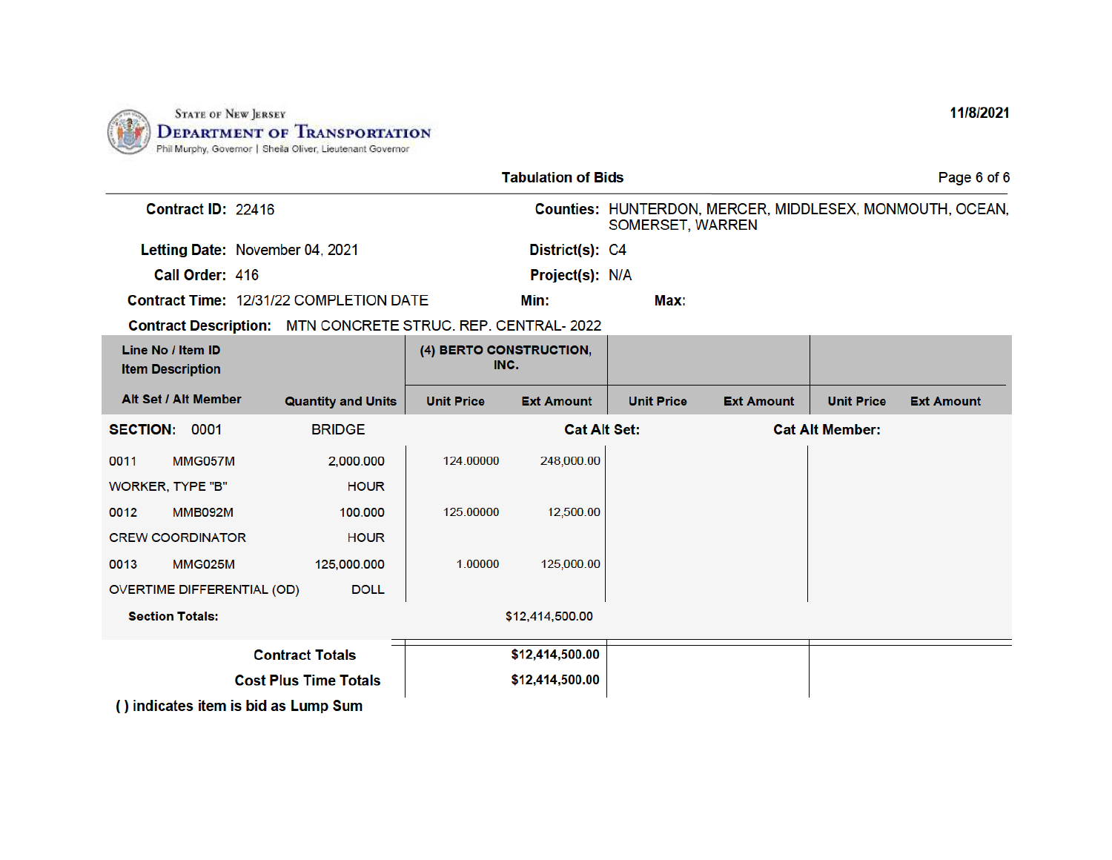

| <b>Tabulation of Bids</b>                                          |                           |                                 |                     |                   |                   |                        | Page 6 of 6                                              |
|--------------------------------------------------------------------|---------------------------|---------------------------------|---------------------|-------------------|-------------------|------------------------|----------------------------------------------------------|
| Contract ID: 22416                                                 |                           |                                 |                     | SOMERSET, WARREN  |                   |                        | Counties: HUNTERDON, MERCER, MIDDLESEX, MONMOUTH, OCEAN, |
| Letting Date: November 04, 2021                                    |                           |                                 | District(s): C4     |                   |                   |                        |                                                          |
| Call Order: 416                                                    |                           |                                 | Project(s): N/A     |                   |                   |                        |                                                          |
| <b>Contract Time: 12/31/22 COMPLETION DATE</b>                     |                           |                                 | Min:                | Max:              |                   |                        |                                                          |
| <b>Contract Description: MTN CONCRETE STRUC. REP. CENTRAL-2022</b> |                           |                                 |                     |                   |                   |                        |                                                          |
| Line No / Item ID<br><b>Item Description</b>                       |                           | (4) BERTO CONSTRUCTION,<br>INC. |                     |                   |                   |                        |                                                          |
| Alt Set / Alt Member                                               | <b>Quantity and Units</b> | <b>Unit Price</b>               | <b>Ext Amount</b>   | <b>Unit Price</b> | <b>Ext Amount</b> | <b>Unit Price</b>      | <b>Ext Amount</b>                                        |
| SECTION: 0001                                                      | <b>BRIDGE</b>             |                                 | <b>Cat Alt Set:</b> |                   |                   | <b>Cat Alt Member:</b> |                                                          |
| MMG057M<br>0011                                                    | 2,000.000                 | 124.00000                       | 248,000.00          |                   |                   |                        |                                                          |
| <b>WORKER, TYPE "B"</b>                                            | <b>HOUR</b>               |                                 |                     |                   |                   |                        |                                                          |
| <b>MMB092M</b><br>0012                                             | 100,000                   | 125.00000                       | 12,500.00           |                   |                   |                        |                                                          |
| <b>CREW COORDINATOR</b>                                            | <b>HOUR</b>               |                                 |                     |                   |                   |                        |                                                          |
| <b>MMG025M</b><br>0013                                             | 125,000.000               | 1.00000                         | 125,000.00          |                   |                   |                        |                                                          |
| OVERTIME DIFFERENTIAL (OD)                                         | <b>DOLL</b>               |                                 |                     |                   |                   |                        |                                                          |
| <b>Section Totals:</b>                                             |                           |                                 | \$12,414,500.00     |                   |                   |                        |                                                          |
|                                                                    | <b>Contract Totals</b>    |                                 | \$12,414,500.00     |                   |                   |                        |                                                          |
| <b>Cost Plus Time Totals</b>                                       |                           |                                 | \$12,414,500.00     |                   |                   |                        |                                                          |
| () indicates item is bid as Lump Sum                               |                           |                                 |                     |                   |                   |                        |                                                          |